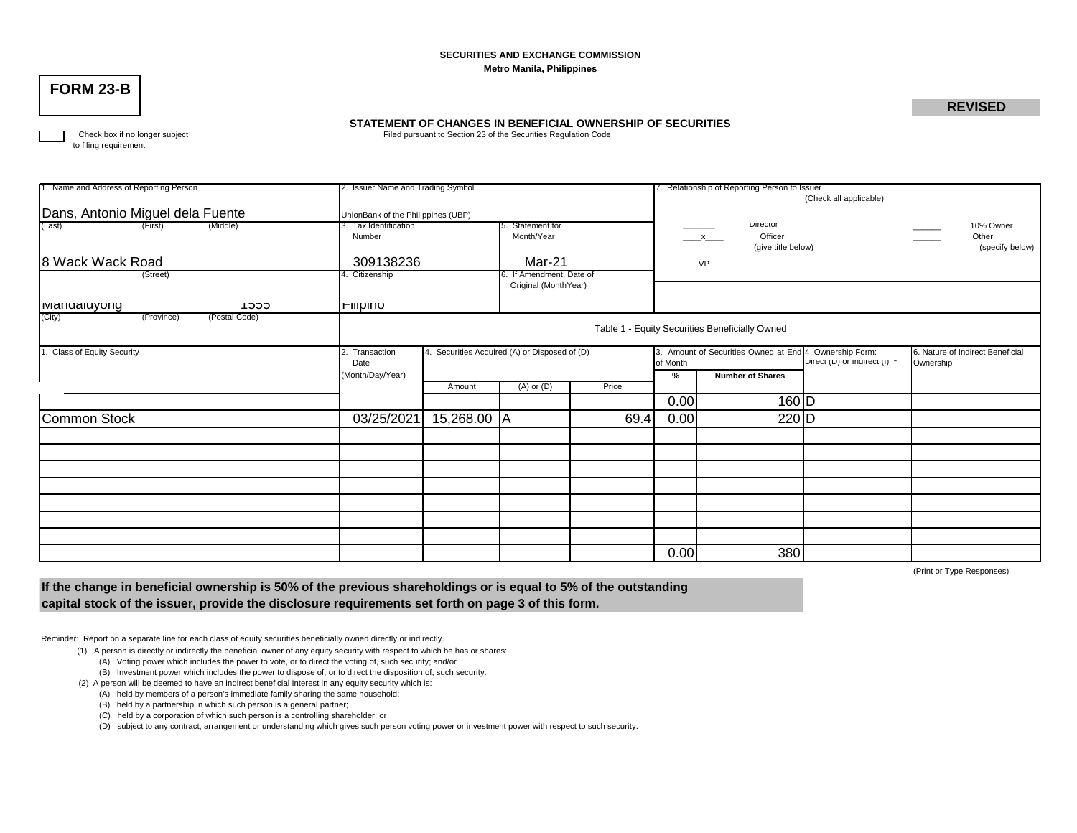### **SECURITIES AND EXCHANGE COMMISSION Metro Manila, Philippines**

# **FORM 23-B**

## **REVISED**

## **STATEMENT OF CHANGES IN BENEFICIAL OWNERSHIP OF SECURITIES**

Check box if no longer subject **Filed pursuant to Section 23 of the Securities Regulation Code** 

to filing requirement

| 1. Name and Address of Reporting Person<br>2. Issuer Name and Trading Symbol |                                                                 |             |                          |                                                                                            | 7. Relationship of Reporting Person to Issuer         |                                                |           |                 |  |  |  |  |
|------------------------------------------------------------------------------|-----------------------------------------------------------------|-------------|--------------------------|--------------------------------------------------------------------------------------------|-------------------------------------------------------|------------------------------------------------|-----------|-----------------|--|--|--|--|
|                                                                              |                                                                 |             |                          |                                                                                            | (Check all applicable)                                |                                                |           |                 |  |  |  |  |
| Dans, Antonio Miguel dela Fuente                                             |                                                                 |             |                          |                                                                                            |                                                       |                                                |           |                 |  |  |  |  |
|                                                                              | UnionBank of the Philippines (UBP)                              |             |                          |                                                                                            |                                                       | Director                                       |           |                 |  |  |  |  |
| (Last)<br>(Middle)<br>(First)                                                | 3. Tax Identification                                           |             | Statement for            |                                                                                            |                                                       |                                                | 10% Owner |                 |  |  |  |  |
|                                                                              | Number                                                          |             | Month/Year               |                                                                                            |                                                       | Officer<br>$\mathbf{x}$                        |           | Other           |  |  |  |  |
|                                                                              |                                                                 |             |                          |                                                                                            |                                                       | (give title below)                             |           | (specify below) |  |  |  |  |
| 8 Wack Wack Road                                                             | 309138236                                                       |             | Mar-21                   |                                                                                            |                                                       | VP                                             |           |                 |  |  |  |  |
| (Street)                                                                     | 4. Citizenship                                                  |             | 6. If Amendment, Date of |                                                                                            |                                                       |                                                |           |                 |  |  |  |  |
|                                                                              |                                                                 |             | Original (MonthYear)     |                                                                                            |                                                       |                                                |           |                 |  |  |  |  |
|                                                                              |                                                                 |             |                          |                                                                                            |                                                       |                                                |           |                 |  |  |  |  |
| T555<br><b>I</b> wandaluyong                                                 | <b>Filipino</b>                                                 |             |                          |                                                                                            |                                                       |                                                |           |                 |  |  |  |  |
| (City)<br>(Postal Code)<br>(Province)                                        |                                                                 |             |                          |                                                                                            |                                                       |                                                |           |                 |  |  |  |  |
|                                                                              |                                                                 |             |                          |                                                                                            |                                                       | Table 1 - Equity Securities Beneficially Owned |           |                 |  |  |  |  |
|                                                                              |                                                                 |             |                          |                                                                                            |                                                       |                                                |           |                 |  |  |  |  |
| <b>Class of Equity Security</b>                                              | 4. Securities Acquired (A) or Disposed of (D)<br>2. Transaction |             |                          | 3. Amount of Securities Owned at End 4 Ownership Form:<br>6. Nature of Indirect Beneficial |                                                       |                                                |           |                 |  |  |  |  |
|                                                                              | Date                                                            |             |                          |                                                                                            | Direct (D) or Indirect (I) *<br>of Month<br>Ownership |                                                |           |                 |  |  |  |  |
|                                                                              | (Month/Day/Year)                                                |             |                          | <b>Number of Shares</b><br>%                                                               |                                                       |                                                |           |                 |  |  |  |  |
|                                                                              |                                                                 | Amount      | $(A)$ or $(D)$           | Price                                                                                      |                                                       |                                                |           |                 |  |  |  |  |
|                                                                              |                                                                 |             |                          |                                                                                            | 0.00                                                  | 160 D                                          |           |                 |  |  |  |  |
|                                                                              |                                                                 |             |                          |                                                                                            |                                                       |                                                |           |                 |  |  |  |  |
| Common Stock                                                                 | 03/25/2021                                                      | 15,268.00 A |                          | 69.4                                                                                       | 0.00                                                  | 220 D                                          |           |                 |  |  |  |  |
|                                                                              |                                                                 |             |                          |                                                                                            |                                                       |                                                |           |                 |  |  |  |  |
|                                                                              |                                                                 |             |                          |                                                                                            |                                                       |                                                |           |                 |  |  |  |  |
|                                                                              |                                                                 |             |                          |                                                                                            |                                                       |                                                |           |                 |  |  |  |  |
|                                                                              |                                                                 |             |                          |                                                                                            |                                                       |                                                |           |                 |  |  |  |  |
|                                                                              |                                                                 |             |                          |                                                                                            |                                                       |                                                |           |                 |  |  |  |  |
|                                                                              |                                                                 |             |                          |                                                                                            |                                                       |                                                |           |                 |  |  |  |  |
|                                                                              |                                                                 |             |                          |                                                                                            |                                                       |                                                |           |                 |  |  |  |  |
|                                                                              |                                                                 |             |                          |                                                                                            |                                                       |                                                |           |                 |  |  |  |  |
|                                                                              |                                                                 |             |                          |                                                                                            |                                                       |                                                |           |                 |  |  |  |  |
|                                                                              |                                                                 |             |                          |                                                                                            | 0.00                                                  | 380                                            |           |                 |  |  |  |  |

(Print or Type Responses)

**If the change in beneficial ownership is 50% of the previous shareholdings or is equal to 5% of the outstanding capital stock of the issuer, provide the disclosure requirements set forth on page 3 of this form.**

Reminder: Report on a separate line for each class of equity securities beneficially owned directly or indirectly.

- (1) A person is directly or indirectly the beneficial owner of any equity security with respect to which he has or shares:
	- (A) Voting power which includes the power to vote, or to direct the voting of, such security; and/or
	- (B) Investment power which includes the power to dispose of, or to direct the disposition of, such security.

(2) A person will be deemed to have an indirect beneficial interest in any equity security which is:

- (A) held by members of a person's immediate family sharing the same household;
- (B) held by a partnership in which such person is a general partner;
- (C) held by a corporation of which such person is a controlling shareholder; or

(D) subject to any contract, arrangement or understanding which gives such person voting power or investment power with respect to such security.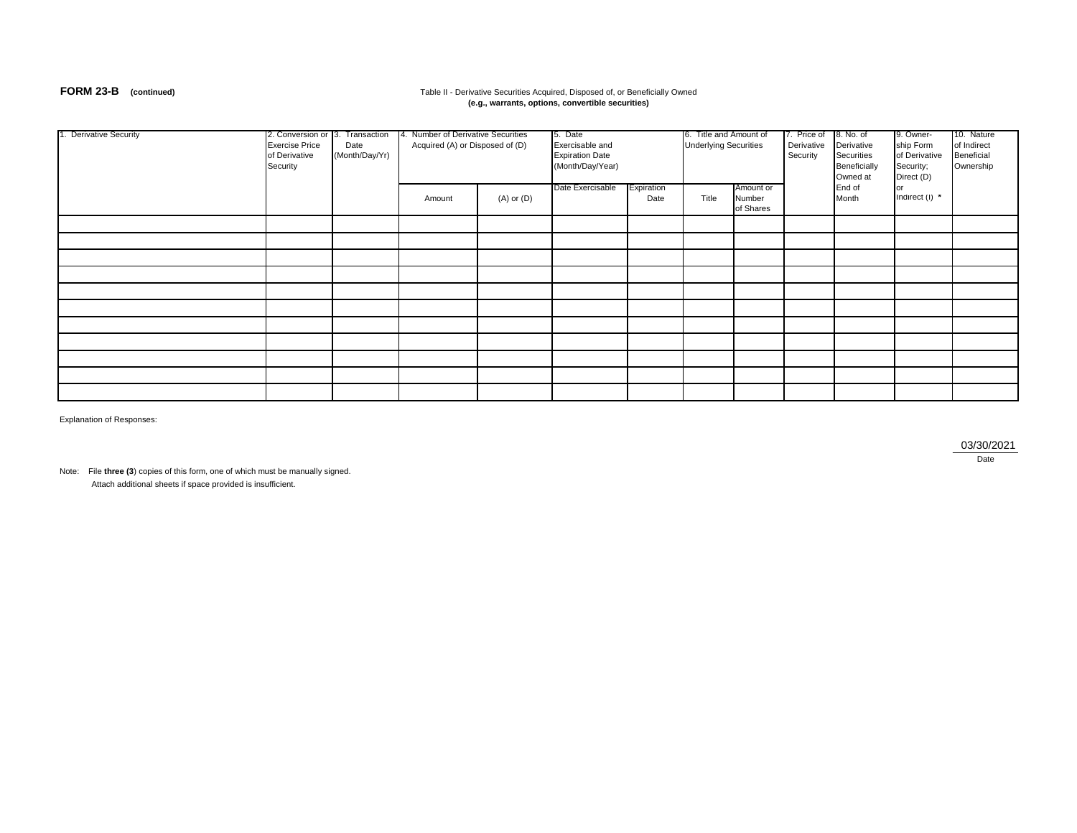### **FORM 23-B** (continued) **Table II - Derivative Securities Acquired, Disposed of, or Beneficially Owned (e.g., warrants, options, convertible securities)**

| 1. Derivative Security | 2. Conversion or 3. Transaction<br><b>Exercise Price</b><br>of Derivative<br>Security | Date<br>(Month/Day/Yr) | 4. Number of Derivative Securities<br>Acquired (A) or Disposed of (D) |                | 5. Date<br>Exercisable and<br><b>Expiration Date</b><br>(Month/Day/Year)<br>Date Exercisable<br>Expiration |      | 6. Title and Amount of<br><b>Underlying Securities</b><br>Amount or |                     | 7. Price of<br>Derivative<br>Security | 8. No. of<br>Derivative<br>Securities<br>Beneficially<br>Owned at<br>End of | 9. Owner-<br>ship Form<br>of Derivative<br>Security;<br>Direct (D) | 10. Nature<br>of Indirect<br>Beneficial<br>Ownership |
|------------------------|---------------------------------------------------------------------------------------|------------------------|-----------------------------------------------------------------------|----------------|------------------------------------------------------------------------------------------------------------|------|---------------------------------------------------------------------|---------------------|---------------------------------------|-----------------------------------------------------------------------------|--------------------------------------------------------------------|------------------------------------------------------|
|                        |                                                                                       |                        | Amount                                                                | $(A)$ or $(D)$ |                                                                                                            | Date | Title                                                               | Number<br>of Shares |                                       | Month                                                                       | Indirect $(I)$ *                                                   |                                                      |
|                        |                                                                                       |                        |                                                                       |                |                                                                                                            |      |                                                                     |                     |                                       |                                                                             |                                                                    |                                                      |
|                        |                                                                                       |                        |                                                                       |                |                                                                                                            |      |                                                                     |                     |                                       |                                                                             |                                                                    |                                                      |
|                        |                                                                                       |                        |                                                                       |                |                                                                                                            |      |                                                                     |                     |                                       |                                                                             |                                                                    |                                                      |
|                        |                                                                                       |                        |                                                                       |                |                                                                                                            |      |                                                                     |                     |                                       |                                                                             |                                                                    |                                                      |
|                        |                                                                                       |                        |                                                                       |                |                                                                                                            |      |                                                                     |                     |                                       |                                                                             |                                                                    |                                                      |
|                        |                                                                                       |                        |                                                                       |                |                                                                                                            |      |                                                                     |                     |                                       |                                                                             |                                                                    |                                                      |
|                        |                                                                                       |                        |                                                                       |                |                                                                                                            |      |                                                                     |                     |                                       |                                                                             |                                                                    |                                                      |
|                        |                                                                                       |                        |                                                                       |                |                                                                                                            |      |                                                                     |                     |                                       |                                                                             |                                                                    |                                                      |
|                        |                                                                                       |                        |                                                                       |                |                                                                                                            |      |                                                                     |                     |                                       |                                                                             |                                                                    |                                                      |
|                        |                                                                                       |                        |                                                                       |                |                                                                                                            |      |                                                                     |                     |                                       |                                                                             |                                                                    |                                                      |
|                        |                                                                                       |                        |                                                                       |                |                                                                                                            |      |                                                                     |                     |                                       |                                                                             |                                                                    |                                                      |

Explanation of Responses:

03/30/2021

**Date** 

Note: File **three (3**) copies of this form, one of which must be manually signed. Attach additional sheets if space provided is insufficient.